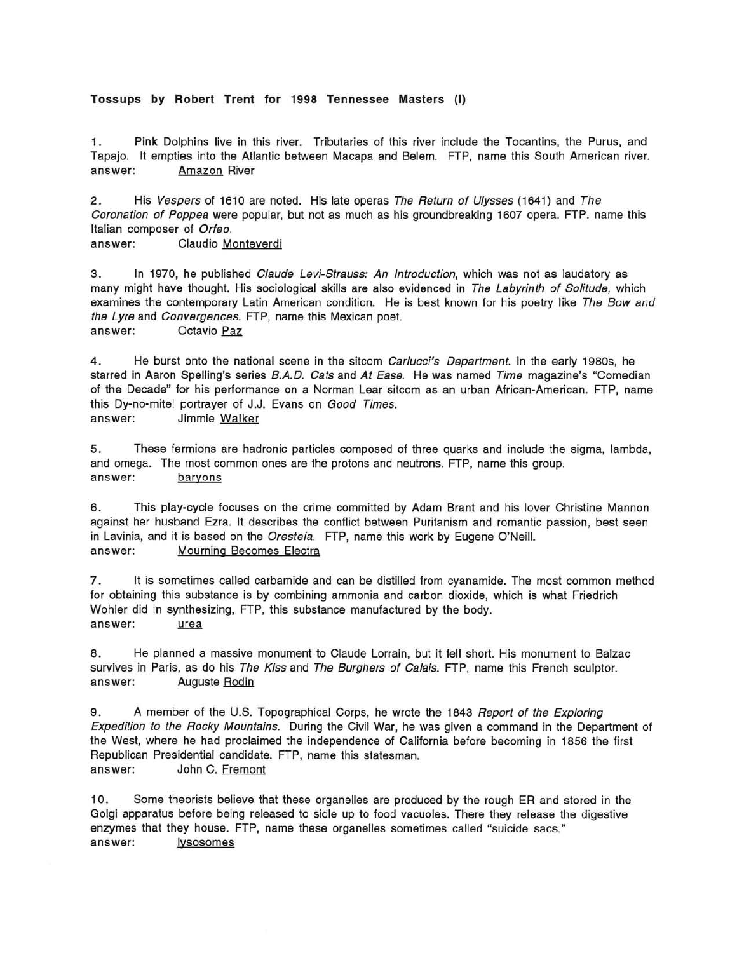## **Tossups by Robert Trent for 1998 Tennessee Masters (I)**

1. Pink Dolphins live in this river. Tributaries of this river include the Tocantins, the Purus, and Tapajo. It empties into the Atlantic between Macapa and Belem. FTP, name this South American river. answer: Amazon River

2. His Vespers of 1610 are noted. His late operas The Return of Ulysses (1641) and The Coronation of Poppea were popular, but not as much as his groundbreaking 1607 opera. FTP. name this Italian composer of Orfeo.

answer: Claudio Monteverdi

3. In 1970, he published Claude Levi-Strauss: An Introduction, which was not as laudatory as many might have thought. His sociological skills are also evidenced in The Labyrinth of Solitude, which examines the contemporary Latin American condition. He is best known for his poetry like The Bow and the Lyre and Convergences. FTP, name this Mexican poet. answer: Octavio Paz

4. He burst onto the national scene in the sitcom *Carlucci's Department*. In the early 1980s, he starred in Aaron Spelling's series B.A.D. Cats and At Ease. He was named Time magazine's "Comedian of the Decade" for his performance on a Norman Lear sitcom as an urban African-American. FTP, name this Dy-no-mite! portrayer of J.J. Evans on Good Times. answer: Jimmie Walker

5. These fermions are hadronic particles composed of three quarks and include the sigma, lambda, and omega. The most common ones are the protons and neutrons. FTP, name this group. answer: baryons

6. This play-cycle focuses on the crime committed by Adam Brant and his lover Christine Mannon against her husband Ezra. It describes the conflict between Puritanism and romantic passion, best seen in Lavinia, and it is based on the Oresteia. FTP, name this work by Eugene O'Neill. answer: Mourning Becomes Electra

7 . It is sometimes called carbamide and can be distilled from cyanamide. The most common method for obtaining this substance is by combining ammonia and carbon dioxide, which is what Friedrich Wohler did in synthesizing, FTP, this substance manufactured by the body.<br>answer: <u>urea</u>

8. He planned a massive monument to Claude Lorrain, but it fell short. His monument to Balzac survives in Paris, as do his The Kiss and The Burghers of Calais. FTP, name this French sculptor. answer: Auguste Rodin

9. A member of the U.S. Topographical Corps, he wrote the 1843 Report of the Exploring Expedition to the Rocky Mountains. During the Civil War, he was given a command in the Department of the West, where he had proclaimed the independence of California before becoming in 1856 the first Republican Presidential candidate. FTP, name this statesman. answer: John C. Fremont

10. Some theorists believe that these organelles are produced by the rough ER and stored in the Golgi apparatus before being released to sidle up to food vacuoles. There they release the digestive enzymes that they house. FTP, name these organelles sometimes called "suicide sacs." answer: Iysosomes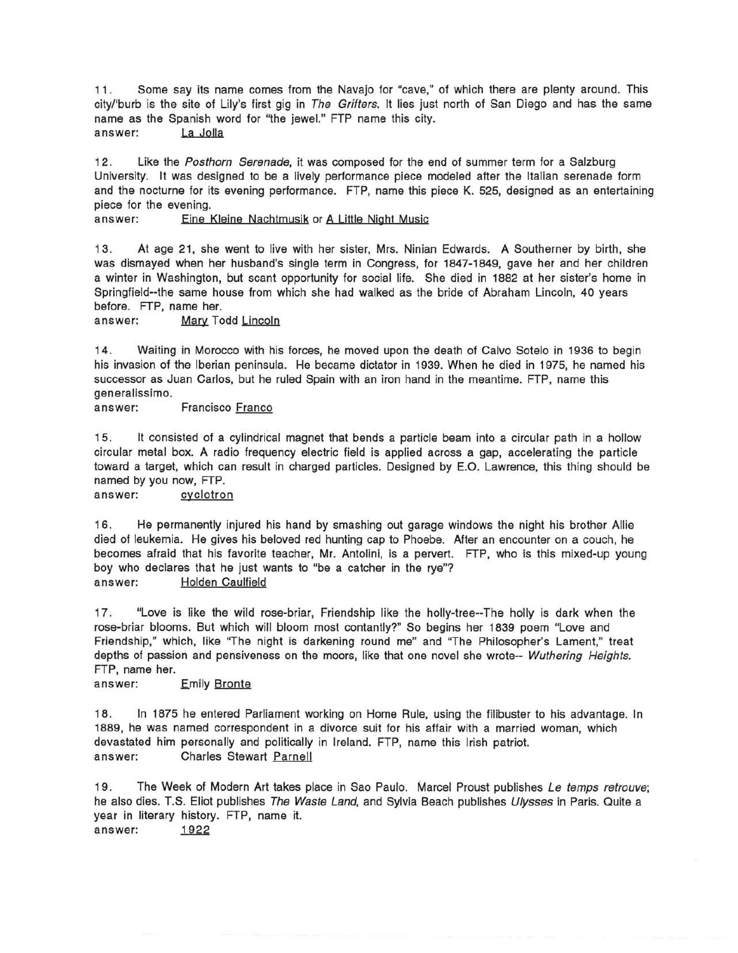11. Some say its name comes from the Navajo for "cave," of which there are plenty around. This city/'burb is the site of Lily's first gig in The Grifters. It lies just north of San Diego and has the same name as the Spanish word for "the jeweL" FTP name this city. answer: La Jolla

12. Like the Posthorn Serenade, it was composed for the end of summer term for a Salzburg University. It was designed to be a lively performance piece modeled after the Italian serenade form and the nocturne for its evening performance. FTP, name this piece K. 525, designed as an entertaining piece for the evening.<br>answer: Eine h

Eine Kleine Nachtmusik or A Little Night Music

13. At age 21, she went to live with her sister, Mrs. Ninian Edwards. A Southerner by birth, she was dismayed when her husband's single term in Congress, for 1847-1849, gave her and her children a winter in Washington, but scant opportunity for social life. She died in 1882 at her sister's home in Springfield--the same house from which she had walked as the bride of Abraham Lincoln, 40 years before. FTP, name her.

answer: **Mary Todd Lincoln** 

14. Waiting in Morocco with his forces, he moved upon the death of Calvo Sotelo in 1936 to begin his invasion of the Iberian peninsula. He became dictator in 1939. When he died in 1975, he named his successor as Juan Carlos, but he ruled Spain with an iron hand in the meantime. FTP, name this generalissimo.

answer: Francisco Franco

15. It consisted of a cylindrical magnet that bends a particle beam into a circular path in a hollow circular metal box. A radio frequency electric field is applied across a gap, accelerating the particle toward a target, which can result in charged particles. Designed by E.O. Lawrence, this thing should be named by you now, FTP.

answer: cyclotron

16. He permanently injured his hand by smashing out garage windows the night his brother Allie died of leukemia. He gives his beloved red hunting cap to Phoebe. After an encounter on a couch, he becomes afraid that his favorite teacher, Mr. Antolini, is a pervert. FTP, who is this mixed-up young boy who declares that he just wants to "be a catcher in the rye"? answer: Holden Caulfield

17. "Love is like the wild rose-briar, Friendship like the hOlly-tree--The holly is dark when the rose-briar blooms. But which will bloom most contantly?" So begins her 1839 poem "Love and Friendship," which, like "The night is darkening round me" and "The Philosopher's Lament," treat depths of passion and pensiveness on the moors, like that one novel she wrote-- Wuthering Heights. FTP, name her. answer: .Emily ~

18. In 1875 he entered Parliament working on Home Rule, using the filibuster to his advantage. In 1889, he was named correspondent in a divorce suit for his affair with a married woman, which devastated him personally and politically in Ireland. FTP, name this Irish patriot. answer: Charles Stewart Parnell

19. The Week of Modern Art takes place in Sao Paulo. Marcel Proust publishes Le temps retrouve; he also dies. T.S. Eliot publishes The Waste Land, and Sylvia Beach publishes Ulysses in Paris. Quite a year in literary history. FTP, name it. answer: 1922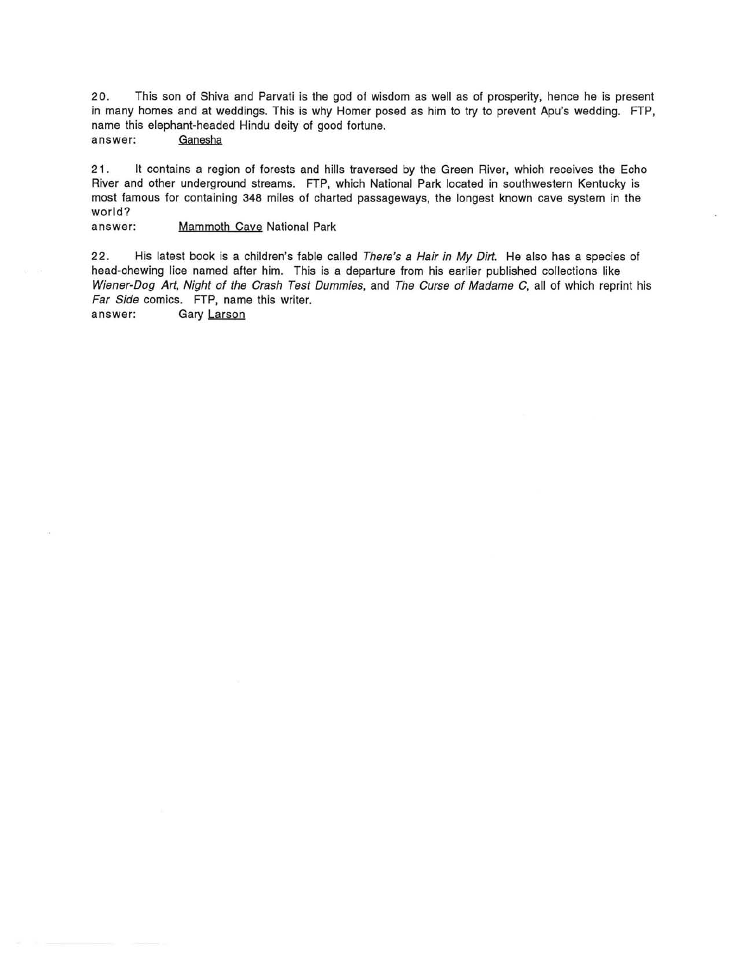20. This son of Shiva and Parvati is the god of wisdom as well as of prosperity, hence he is present in many homes and at weddings. This is why Homer posed as him to try to prevent Apu's wedding. FTP, name this elephant-headed Hindu deity of good fortune. Ganesha

21. It contains a region of forests and hills traversed by the Green River, which receives the Echo River and other underground streams. FTP, which National Park located in southwestern Kentucky is most famous for containing 348 miles of charted passageways, the longest known cave system in the world?

answer: Mammoth Cave National Park

22. His latest book is a children's fable called There's a Hair in My Dirt. He also has a species of head-chewing lice named after him. This is a departure from his earlier published collections like Wiener-Dog Art, Night of the Crash Test Dummies, and The Curse of Madame C, all of which reprint his Far Side comics. FTP, name this writer. answer: Gary Larson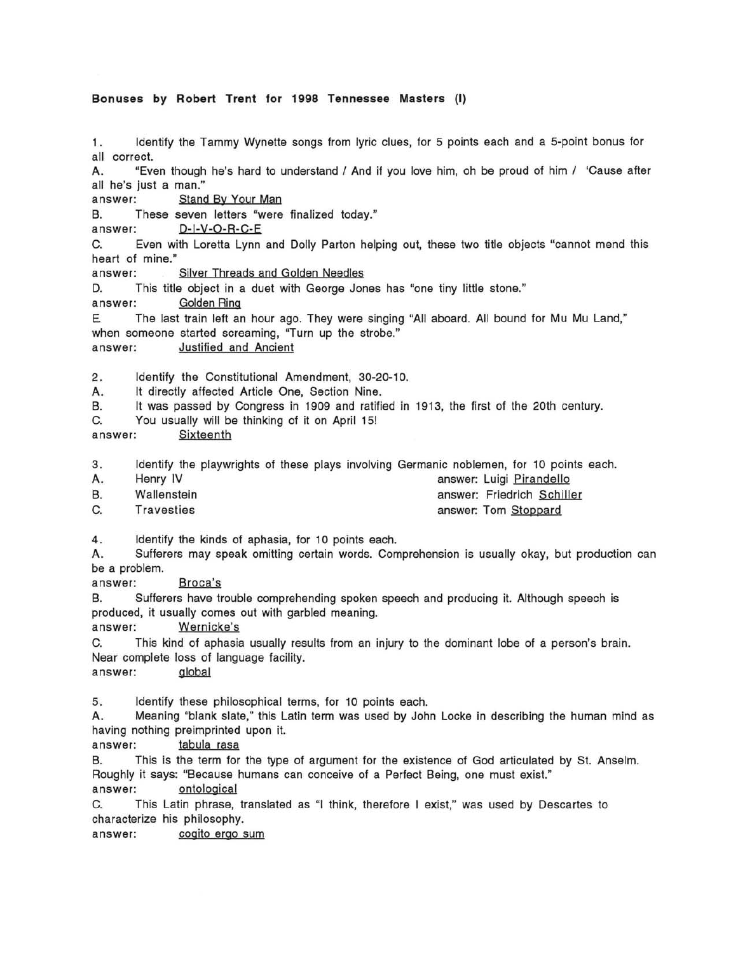## Bonuses by Robert Trent for 1998 Tennessee Masters (I)

1. Identify the Tammy Wynette songs from lyric clues, for 5 points each and a 5-point bonus for all correct.

A. "Even though he's hard to understand / And if you love him, oh be proud of him / 'Cause after all he's just a man."

answer: Stand By Yoyr Man

B. These seven letters "were finalized today."

answer: D-I-V-O-R-C-E

C. Even with Loretta Lynn and Dolly Parton helping out, these two title objects "cannot mend this heart of mine."

answer: Silver Threads and Golden Needles

D. This title object in a duet with George Jones has "one tiny little stone."

answer: Golden Ring

E The last train left an hour ago. They were singing "All aboard. All bound for Mu Mu Land,"

when someone started screaming, "Turn up the strobe."

answer: Justified and Ancient

2. Identify the Constitutional Amendment, 30-20-10.

A. It directly affected Article One, Section Nine.

B. It was passed by Congress in 1909 and ratified in 1913, the first of the 20th century.

C. You usually will be thinking of it on April 15!

answer: Sixteenth

3. Identify the playwrights of these plays involving Germanic noblemen, for 10 points each.

A. Henry IV answer: Luigi Pirandello

B. Wallenstein **answer: Friedrich Schiller** 

C. Travesties answer: Tom Stoppard

4. Identify the kinds of aphasia, for 10 points each.

A. Sufferers may speak omitting certain words. Comprehension is usually okay, but production can be a problem.

answer: Broca's

B. Sufferers have trouble comprehending spoken speech and producing it. Although speech is produced, it usually comes out with garbled meaning.

answer: Wernicke's

C. This kind of aphasia usually results from an injury to the dominant lobe of a person's brain. Near complete loss of language facility.

answer: ,g1QQ,gl

5. Identify these philosophical terms, for 10 points each.

A. Meaning "blank slate," this Latin term was used by John Locke in describing the human mind as having nothing preimprinted upon it.

answer: tabula rasa

B. This is the term for the type of argument for the existence of God articulated by st. Anselm. Roughly it says: "Because humans can conceive of a Perfect Being, one must exist." answer: ontological

C. This Latin phrase, translated as "I think, therefore I exist," was used by Descartes to characterize his philosophy.

answer: cogito ergo sum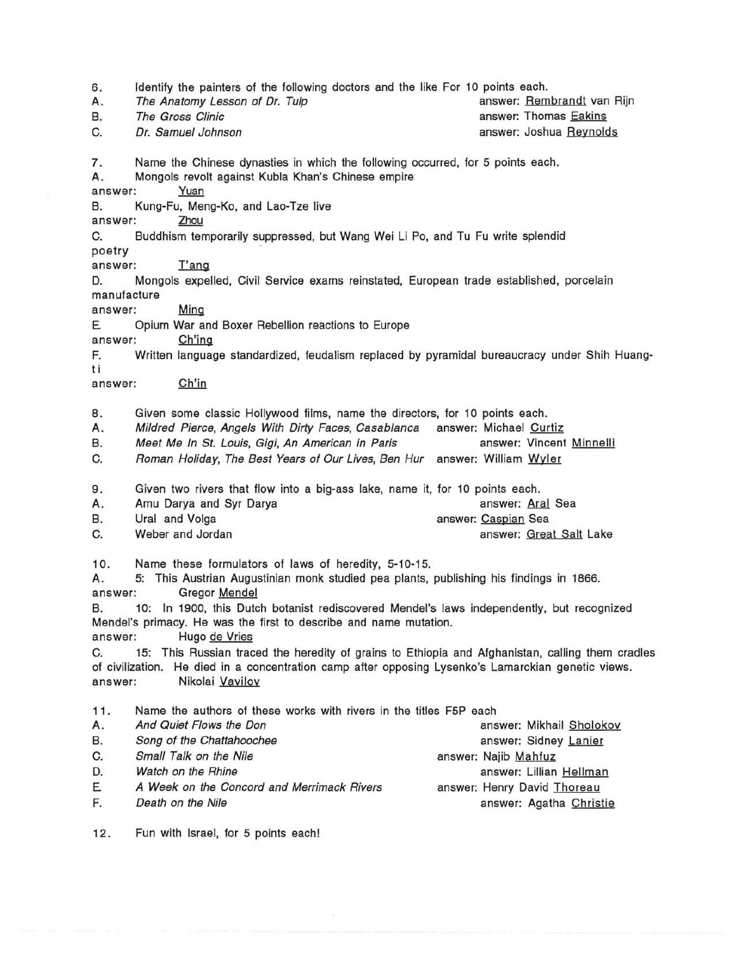6. Identify the painters of the following doctors and the like For 10 points each.<br>A. The Anatomy Lesson of Dr. Tulp answer: Rembrandt van Rijn A. The Anatomy Lesson of Dr. Tulp B. The Gross Clinic Christian Communication of the Communication of the Communication of the Communication of the Communication of the Communication of the Communication of the Communication of the Communication of the Com C. Dr. Samuel Johnson answer: Joshua Reynolds 7. Name the Chinese dynasties in which the following occurred, for 5 points each. A. Mongols revolt against Kubla Khan's Chinese empire answer: Yuan B. Kung-Fu, Meng-Ko, and Lao-Tze live answer: Zhou C. Buddhism temporarily suppressed, but Wang Wei Li Po, and Tu Fu write splendid poetry answer: T'ang D. Mongols expelled, Civil Service exams reinstated, European trade established, porcelain manufacture answer: Ming E Opium War and Boxer Rebellion reactions to Europe answer: Ch'ing F. Written language standardized, feudalism replaced by pyramidal bureaucracy under Shih Huangt i answer: Ch'in 8. Given some classic Hollywood films, name the directors, for 10 points each. A. Mildred Pierce, Angels With Dirty Faces, Casablanca answer: Michael Curtiz B. Meet Me In St. Louis, Gigi, An American in Paris **Access 18 answer: Vincent Minnelli** C. Roman Holiday, The Best Years of Our Lives, Ben Hur answer: William Wyler 9. A. B. C. Given two rivers that flow into a big-ass lake, name it, for 10 points each. Amu Darya and Syr Darya Ural and Volga Weber and Jordan answer: Aral Sea answer: Caspian Sea answer: Great Salt Lake <sup>1</sup>o. Name these formulators of laws of heredity, 5-10-15. A. 5: This Austrian Augustinian monk studied pea plants, publishing his findings in 1866. answer: Gregor Mendel B. 10: In 1900, this Dutch botanist rediscovered Mendel's laws independently, but recognized Mendel's primacy. He was the first to describe and name mutation. answer: Hugo de Vries C. 15: This Russian traced the heredity of grains to Ethiopia and Afghanistan, calling them cradles of civilization. He died in a concentration camp after opposing Lysenko's Lamarckian genetic views. answer: Nikolai Vavilov 11 . A. B. C. D. E F. 12. Name the authors of these works with rivers in the titles F5P each And Quiet Flows the Don Song of the Chattahoochee Small Talk on the Nile Watch on the Rhine A Week on the Concord and Merrimack Rivers Death on the Nile Fun with Israel, for 5 points each! answer: Mikhail Sholokov answer: Sidney Lanier answer: Najib Mahfuz answer: Lillian Hellman answer: Henry David Thoreau answer: Agatha Christie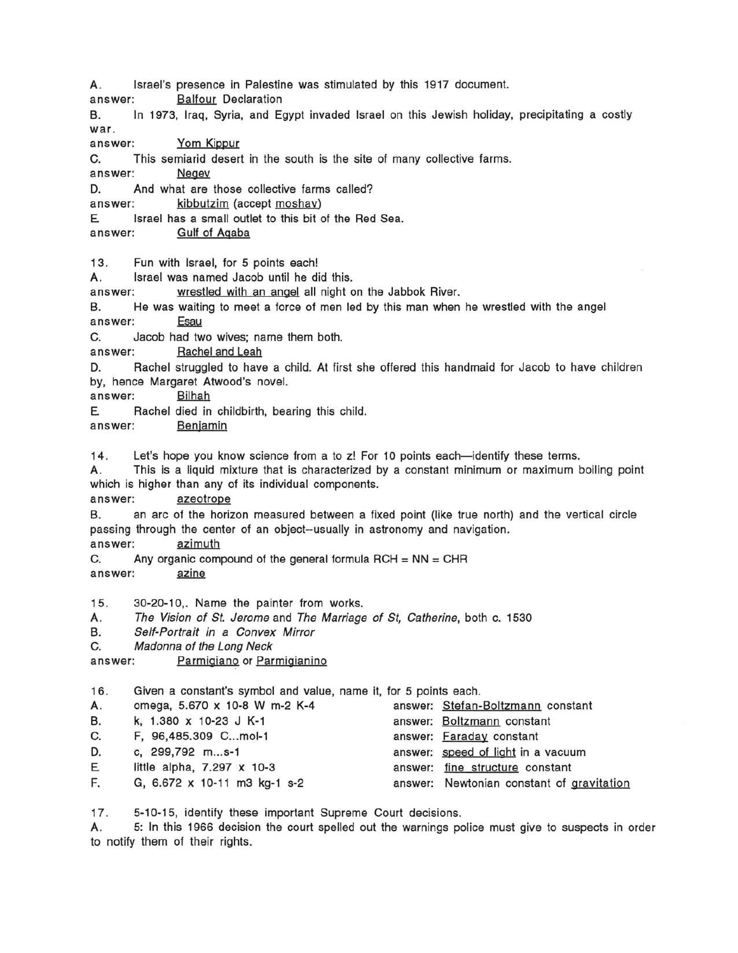A. Israel's presence in Palestine was stimulated by this 1917 document.

answer: Balfour Declaration

B. In 1973, Iraq, Syria, and Egypt invaded Israel on this Jewish holiday, precipitating a costly war.

answer: yom Kippur

C. This semiarid desert in the south is the site of many collective farms.<br>answer: <u>Negev</u><br>-

D. And what are those collective farms called?

answer: kibbutzim (accept moshav)

E Israel has a small outlet to this bit of the Red Sea.

answer: Gulf of Aqaba

13. Fun with Israel, for 5 points each!

A. Israel was named Jacob until he did this.

answer: wrestled with an angel all night on the Jabbok River.

B. He was waiting to meet a force of men led by this man when he wrestled with the angel answer: ~

C. Jacob had two wives; name them both.

answer: Rachel and Leah

D. Rachel struggled to have a child. At first she offered this handmaid for Jacob to have children by, hence Margaret Atwood's novel.

answer: Bilhah

E Rachel died in childbirth, bearing this child.

answer: Benjamin

14. Let's hope you know science from a to z! For 10 points each—identify these terms.

A. This is a liquid mixture that is characterized by a constant minimum or maximum boiling point which is higher than any of its individual components.

answer: azeotrope

B. an arc of the horizon measured between a fixed point (like true north) and the vertical circle passing through the center of an object--usually in astronomy and navigation.

answer: azimuth

C. Any organic compound of the general formula RCH = NN = CHR<br>answer: <u>azine</u>

15. 30-20-10,. Name the painter from works.

A. The Vision of Sf. Jerome and The Marriage of St, Catherine, both c. 1530

B. Self-Portrait in a Convex Mirror

C. Madonna of the Long Neck

answer: Parmigiano or Parmigianino

16. Given a constant's symbol and value, name it, for 5 points each.

| А. | omega, 5.670 x 10-8 W m-2 K-4 | answer: Stefan-Boltzmann constant         |
|----|-------------------------------|-------------------------------------------|
| В. | k, 1.380 x 10-23 J K-1        | answer: Boltzmann constant                |
| C. | F, 96,485.309 Cmol-1          | answer: Faraday constant                  |
| D. | c, 299,792 ms-1               | answer: speed of light in a vacuum        |
| Е  | little alpha, 7.297 x 10-3    | answer: fine structure constant           |
| F. | G, 6.672 x 10-11 m3 kg-1 s-2  | answer: Newtonian constant of gravitation |
|    |                               |                                           |

17. 5-10-15, identify these important Supreme Court decisions.

A. 5: In this 1966 decision the court spelled out the warnings police must give to suspects in order to notify them of their rights.